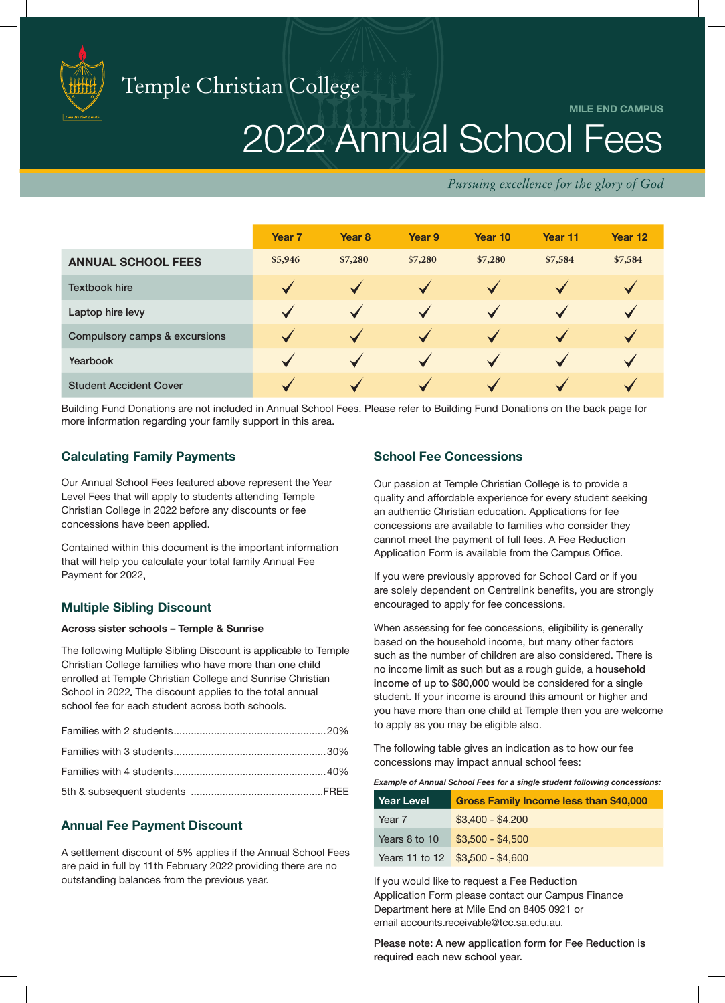

**MILE END CAMPUS**

# 2022 Annual School Fees

*Pursuing excellence for the glory of God*

|                                          | Year <sub>7</sub>     | Year <sub>8</sub>    | Year 9                | Year 10               | Year 11      | Year 12      |
|------------------------------------------|-----------------------|----------------------|-----------------------|-----------------------|--------------|--------------|
| <b>ANNUAL SCHOOL FEES</b>                | \$5,946               | \$7,280              | \$7,280               | \$7,280               | \$7,584      | \$7,584      |
| <b>Textbook hire</b>                     | ✓                     | $\checkmark$         | $\checkmark$          |                       |              |              |
| Laptop hire levy                         | ✓                     | $\blacktriangledown$ | $\checkmark$          |                       |              |              |
| <b>Compulsory camps &amp; excursions</b> | $\checkmark$          | $\checkmark$         | $\checkmark$          | $\blacktriangleright$ | $\checkmark$ | $\checkmark$ |
| Yearbook                                 | $\blacktriangleright$ | $\blacktriangledown$ | $\checkmark$          |                       |              |              |
| <b>Student Accident Cover</b>            |                       | $\sqrt{}$            | $\blacktriangleright$ |                       |              |              |

Building Fund Donations are not included in Annual School Fees. Please refer to Building Fund Donations on the back page for more information regarding your family support in this area.

# **Calculating Family Payments**

Our Annual School Fees featured above represent the Year Level Fees that will apply to students attending Temple Christian College in 2022 before any discounts or fee concessions have been applied.

Contained within this document is the important information that will help you calculate your total family Annual Fee Payment for 2022.

# **Multiple Sibling Discount**

## **Across sister schools – Temple & Sunrise**

The following Multiple Sibling Discount is applicable to Temple Christian College families who have more than one child enrolled at Temple Christian College and Sunrise Christian School in 2022. The discount applies to the total annual school fee for each student across both schools.

# **Annual Fee Payment Discount**

A settlement discount of 5% applies if the Annual School Fees are paid in full by 11th February 2022 providing there are no outstanding balances from the previous year.

# **School Fee Concessions**

Our passion at Temple Christian College is to provide a quality and affordable experience for every student seeking an authentic Christian education. Applications for fee concessions are available to families who consider they cannot meet the payment of full fees. A Fee Reduction Application Form is available from the Campus Office.

If you were previously approved for School Card or if you are solely dependent on Centrelink benefits, you are strongly encouraged to apply for fee concessions.

When assessing for fee concessions, eligibility is generally based on the household income, but many other factors such as the number of children are also considered. There is no income limit as such but as a rough guide, a household income of up to \$80,000 would be considered for a single student. If your income is around this amount or higher and you have more than one child at Temple then you are welcome to apply as you may be eligible also.

The following table gives an indication as to how our fee concessions may impact annual school fees:

*Example of Annual School Fees for a single student following concessions:*

| Year Level    | Gross Family Income less than \$40,000 |
|---------------|----------------------------------------|
| Year 7        | $$3,400 - $4,200$                      |
| Years 8 to 10 | $$3.500 - $4.500$                      |
|               | Years 11 to 12 \$3,500 - \$4,600       |

If you would like to request a Fee Reduction Application Form please contact our Campus Finance Department here at Mile End on 8405 0921 or email accounts.receivable@tcc.sa.edu.au.

Please note: A new application form for Fee Reduction is required each new school year.